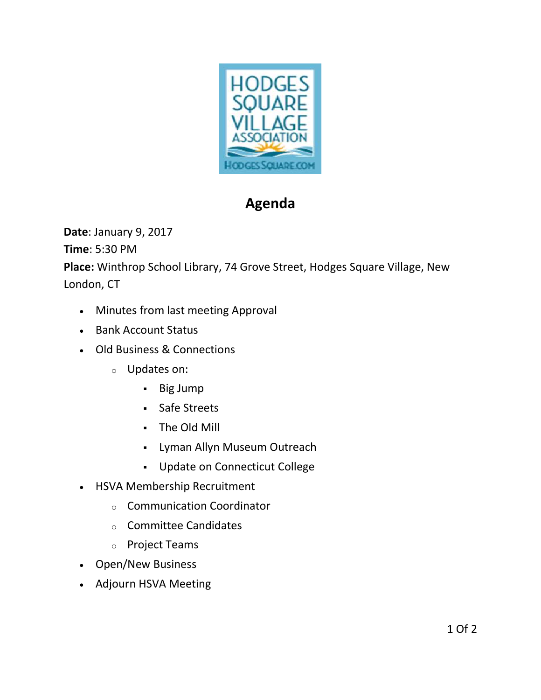

## Agenda

Date: January 9, 2017

Time: 5:30 PM

Place: Winthrop School Library, 74 Grove Street, Hodges Square Village, New London, CT

- Minutes from last meeting Approval
- Bank Account Status
- Old Business & Connections
	- o Updates on:
		- Big Jump
		- Safe Streets
		- The Old Mill
		- Lyman Allyn Museum Outreach
		- Update on Connecticut College
- HSVA Membership Recruitment
	- o Communication Coordinator
	- o Committee Candidates
	- o Project Teams
- Open/New Business
- Adjourn HSVA Meeting